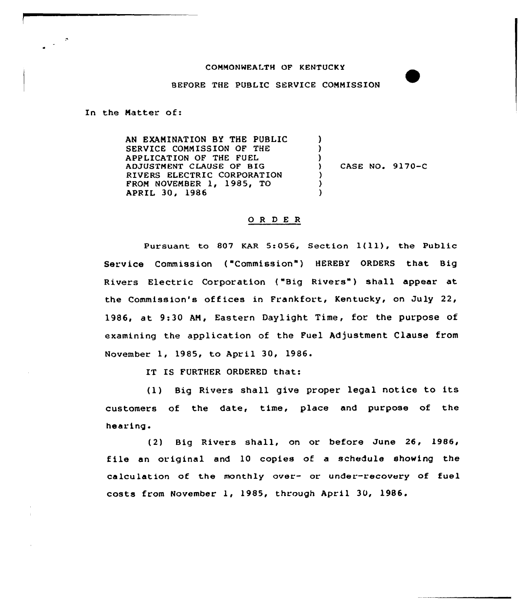## COMMONWEALTH OF KENTUCKY

BEFORE THE PUBLIC SERVICE COMMISSION

In the Matter of:

AN EXAMINATION BY THE PUBLIC SERVICE COMMISSION OF THE APPLICATION OF THE FUEL ADJUSTMENT CLAUSE OF BIG RIVERS ELECTRIC CORPORATION FROM NOVEMBER 1, 1985, TO APRIl 30, 19&6 ) ) )<br>) ) CASE NO. 9170-C ) )  $\lambda$ 

## O R D E R

Pursuant to 807 KAR 5:056, Section  $1(11)$ , the Public Service Commission ("Commission") HEREBY ORDERS that Big Rivers Electric Corporation ("Big Rivers") shall appear at the Commission's off ices in Frankfort, Kentucky, on July 22, 1986, at 9:30 AM, Eastern Daylight Time, for the purpose of examining the application of the Fuel Adjustment Clause from November 1, 1985, to April 30, 1986 <sup>~</sup>

IT IS FURTHER ORDERED that:

(1) Big Rivers shall give proper legal notice to its customers of the date, time, place and purpose of the hearing.

(2) Big Rivers shall, on or before June 26, l986, file an original and 10 copies of <sup>a</sup> schedule showing the calculation of the monthly over- or under-recovery of fuel costs from November 1, )985, through April 30, 1986.